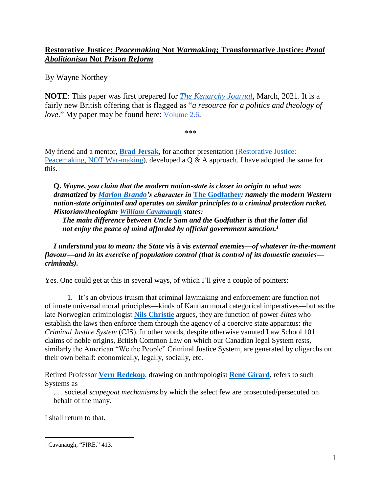# **Restorative Justice:** *Peacemaking* **Not** *Warmaking***; Transformative Justice:** *Penal Abolitionism* **Not** *Prison Reform*

By Wayne Northey

**NOTE**: This paper was first prepared for *[The Kenarchy Journal](https://kenarchy.org/)*, March, 2021. It is a fairly new British offering that is flagged as "*a resource for a politics and theology of love*." My paper may be found here: [Volume 2.6](https://kenarchy.org/wp-content/uploads/2021/03/Kenarchy_Volume2.6.pdf).

\*\*\*

My friend and a mentor, **[Brad Jersak](https://bradjersak.com/)**, for another presentation [\(Restorative Justice:](https://www.clarion-journal.com/clarion_journal_of_spirit/2020/10/restorative-justice-peacemaking-not-war-making-wayne-northey-interview-host-brad-jersak.html)  [Peacemaking, NOT War-making\)](https://www.clarion-journal.com/clarion_journal_of_spirit/2020/10/restorative-justice-peacemaking-not-war-making-wayne-northey-interview-host-brad-jersak.html), developed a Q & A approach. I have adopted the same for this.

**Q.** *Wayne, you claim that the modern nation-state is closer in origin to what was dramatized by [Marlon Brando'](https://en.wikipedia.org/wiki/Marlon_Brando)s character in* **[The Godfather](https://en.wikipedia.org/wiki/The_Godfather)***: namely the modern Western nation-state originated and operates on similar principles to a criminal protection racket. Historian/theologian [William Cavanaugh](https://en.wikipedia.org/wiki/William_T._Cavanaugh) states:* 

*The main difference between Uncle Sam and the Godfather is that the latter did not enjoy the peace of mind afforded by official government sanction.<sup>1</sup>*

*I understand you to mean: the State* **vis à vis** *external enemies—of whatever in-the-moment flavour—and in its exercise of population control (that is control of its domestic enemies criminals).*

Yes. One could get at this in several ways, of which I'll give a couple of pointers:

1. It's an obvious truism that criminal lawmaking and enforcement are function not of innate universal moral principles—kinds of Kantian moral categorical imperatives—but as the late Norwegian criminologist **[Nils Christie](https://en.wikipedia.org/wiki/Nils_Christie)** argues, they are function of power *élites* who establish the laws then enforce them through the agency of a coercive state apparatus: *the Criminal Justice System* (CJS). In other words, despite otherwise vaunted Law School 101 claims of noble origins, British Common Law on which our Canadian legal System rests, similarly the American "We the People" Criminal Justice System, are generated by oligarchs on their own behalf: economically, legally, socially, etc.

Retired Professor **[Vern Redekop](https://ustpaul.ca/blog/author/181-vern-redekop)**, drawing on anthropologist **[René Girard](https://en.wikipedia.org/wiki/Ren%C3%A9_Girard)**, refers to such Systems as

. . . societal *scapegoat mechanisms* by which the select few are prosecuted/persecuted on behalf of the many.

I shall return to that.

 $<sup>1</sup>$  Cavanaugh, "FIRE," 413.</sup>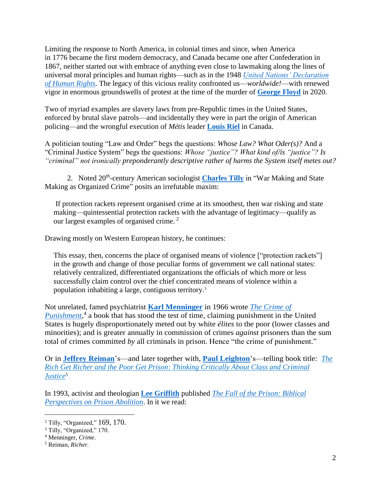Limiting the response to North America, in colonial times and since, when America in 1776 became the first modern democracy, and Canada became one after Confederation in 1867, neither started out with embrace of anything even close to lawmaking along the lines of universal moral principles and human rights—such as in the 1948 *[United Nations' Declaration](https://www.amazon.ca/Universal-Declaration-Rights-Nations-Publications/dp/921101364X/ref=sr_1_4?crid=F7G7KTEZ72C7&keywords=United+Nations%E2%80%99+Declaration+of+Human+Rights&qid=1650081114&s=books&sprefix=united+nations+declaration+of+human+rights%2Cstripbooks%2C140&sr=1-4)  [of Human Rights](https://www.amazon.ca/Universal-Declaration-Rights-Nations-Publications/dp/921101364X/ref=sr_1_4?crid=F7G7KTEZ72C7&keywords=United+Nations%E2%80%99+Declaration+of+Human+Rights&qid=1650081114&s=books&sprefix=united+nations+declaration+of+human+rights%2Cstripbooks%2C140&sr=1-4)*. The legacy of this vicious reality confronted us—*worldwide!*—with renewed vigor in enormous groundswells of protest at the time of the murder of **[George Floyd](https://en.wikipedia.org/wiki/George_Floyd)** in 2020.

Two of myriad examples are slavery laws from pre-Republic times in the United States, enforced by brutal slave patrols—and incidentally they were in part the origin of American policing—and the wrongful execution of *Métis* leader **[Louis Riel](https://en.wikipedia.org/wiki/Louis_Riel)** in Canada.

A politician touting "Law and Order" begs the questions: *Whose Law? What Oder(s)?* And a "Criminal Justice System" begs the questions: *Whose "justice"? What kind of/is "justice"? Is "criminal" not ironically preponderantly descriptive rather of harms the System itself metes out?*

2. Noted 20<sup>th</sup>-century American sociologist **[Charles Tilly](https://en.wikipedia.org/wiki/Charles_Tilly)** in "War Making and State Making as Organized Crime" posits an irrefutable maxim:

If protection rackets represent organised crime at its smoothest, then war risking and state making—quintessential protection rackets with the advantage of legitimacy—qualify as our largest examples of organised crime.<sup>2</sup>

Drawing mostly on Western European history, he continues:

This essay, then, concerns the place of organised means of violence ["protection rackets"] in the growth and change of those peculiar forms of government we call national states: relatively centralized, differentiated organizations the officials of which more or less successfully claim control over the chief concentrated means of violence within a population inhabiting a large, contiguous territory. 3

Not unrelated, famed psychiatrist **[Karl Menninger](https://en.wikipedia.org/wiki/Karl_Menninger)** in 1966 wrote *[The Crime of](https://www.amazon.ca/Crime-Punishment-Karl-Menninger/dp/0670247650/ref=sr_1_2?crid=2HSG8W8ZPEI6X&keywords=The+Crime+of+Punishment+menninger&qid=1650085600&s=books&sprefix=the+crime+of+punishment+menninger%2Cstripbooks%2C135&sr=1-2)  [Punishment,](https://www.amazon.ca/Crime-Punishment-Karl-Menninger/dp/0670247650/ref=sr_1_2?crid=2HSG8W8ZPEI6X&keywords=The+Crime+of+Punishment+menninger&qid=1650085600&s=books&sprefix=the+crime+of+punishment+menninger%2Cstripbooks%2C135&sr=1-2)* 4 a book that has stood the test of time, claiming punishment in the United States is hugely disproportionately meted out by white *élites* to the poor (lower classes and minorities); and is greater annually in commission of crimes *against* prisoners than the sum total of crimes committed *by* all criminals in prison. Hence "the crime of punishment."

Or in **[Jeffrey Reiman](https://www.american.edu/cas/faculty/jreiman.cfm)**'s—and later together with, **[Paul Leighton](https://www.emich.edu/sac/faculty/p-leighton.php)**'s—telling book title: *[The](file:///D:/OneDrive/Documents/RJWorld2/The%20Rich%20Get%20Richer%20and%20the%20Poor%20Get%20Prison:%20Thinking%20Critically%20About%20Class%20and%20Criminal%20Justice)  [Rich Get Richer and the Poor Get Prison: Thinking Critically About Class and Criminal](file:///D:/OneDrive/Documents/RJWorld2/The%20Rich%20Get%20Richer%20and%20the%20Poor%20Get%20Prison:%20Thinking%20Critically%20About%20Class%20and%20Criminal%20Justice)  [Justice](https://www.amazon.ca/Rich-Get-Richer-Poor-Prison/dp/0367231794/ref=sr_1_1?qid=1650085769&refinements=p_27%3AJeffrey+Reiman&s=books&sr=1-1&text=Jeffrey+Reiman)*<sup>5</sup> .

In 1993, activist and theologian **[Lee Griffith](https://www.goodreads.com/author/show/695955.Lee_Griffith)** published *[The Fall of the Prison: Biblical](https://www.amazon.ca/Fall-Prison-Biblical-Perspectives-Abolition/dp/0802806708/ref=sr_1_1?crid=30GDUG0BGG9GD&keywords=The+Fall+of+the+Prison%3A+Biblical+Perspectives+on+Prison+Abolition&qid=1650079004&s=books&sprefix=the+fall+of+the+prison+biblical+perspectives+on+prison+abolition%2Cstripbooks%2C125&sr=1-1)  [Perspectives on Prison Abolition](https://www.amazon.ca/Fall-Prison-Biblical-Perspectives-Abolition/dp/0802806708/ref=sr_1_1?crid=30GDUG0BGG9GD&keywords=The+Fall+of+the+Prison%3A+Biblical+Perspectives+on+Prison+Abolition&qid=1650079004&s=books&sprefix=the+fall+of+the+prison+biblical+perspectives+on+prison+abolition%2Cstripbooks%2C125&sr=1-1)*. In it we read:

<sup>2</sup> Tilly, "Organized," 169, 170.

<sup>3</sup> Tilly, "Organized," 170.

<sup>4</sup> Menninger, *Crime*.

<sup>5</sup> Reiman, *Richer.*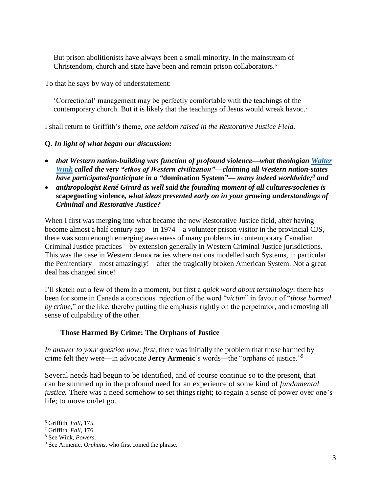But prison abolitionists have always been a small minority. In the mainstream of Christendom, church and state have been and remain prison collaborators. 6

To that he says by way of understatement:

'Correctional' management may be perfectly comfortable with the teachings of the contemporary church. But it is likely that the teachings of Jesus would wreak havoc.<sup>7</sup>

I shall return to Griffith's theme, *one seldom raised in the Restorative Justice Field.*

## **Q.** *In light of what began our discussion:*

- *that Western nation-building was function of profound violence—what theologian [Walter](https://en.wikipedia.org/wiki/Walter_Wink)  [Wink](https://en.wikipedia.org/wiki/Walter_Wink) called the very "ethos of Western civilization"—claiming all Western nation-states have participated/participate in a "***domination System***"— many indeed worldwide; <sup>8</sup> and*
- *anthropologist René Girard as well said the founding moment of all cultures/societies is*  **scapegoating violence***, what ideas presented early on in your growing understandings of Criminal and Restorative Justice?*

When I first was merging into what became the new Restorative Justice field, after having become almost a half century ago—in 1974—a volunteer prison visitor in the provincial CJS, there was soon enough emerging awareness of many problems in contemporary Canadian Criminal Justice practices—by extension generally in Western Criminal Justice jurisdictions. This was the case in Western democracies where nations modelled such Systems, in particular the Penitentiary—most amazingly!—after the tragically broken American System. Not a great deal has changed since!

I'll sketch out a few of them in a moment, but first a *quick word about terminology*: there has been for some in Canada a conscious rejection of the word "*victim*" in favour of "*those harmed by crime*," or the like, thereby putting the emphasis rightly on the perpetrator, and removing all sense of culpability of the other.

## **Those Harmed By Crime: The Orphans of Justice**

*In answer to your question now*: *first*, there was initially the problem that those harmed by crime felt they were—in advocate **Jerry Armenic**'s words—the "orphans of justice." 9

Several needs had begun to be identified, and of course continue so to the present, that can be summed up in the profound need for an experience of some kind of *fundamental justice*. There was a need somehow to set things right; to regain a sense of power over one's life; to move on/let go.

 $\overline{a}$ <sup>6</sup> Griffith, *Fall*, 175.

<sup>7</sup> Griffith, *Fall*, 176.

<sup>8</sup> See Wink, *Powers*.

<sup>9</sup> See Armenic, *Orphans*, who first coined the phrase.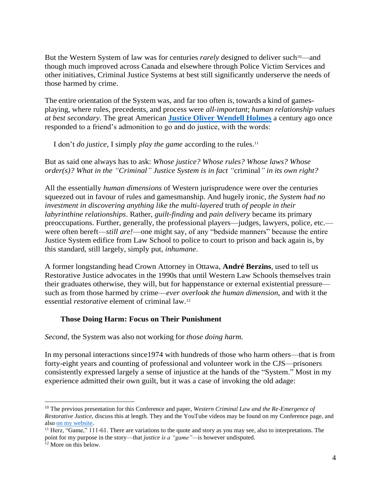But the Western System of law was for centuries *rarely* designed to deliver such<sup>10</sup>—and though much improved across Canada and elsewhere through Police Victim Services and other initiatives, Criminal Justice Systems at best still significantly underserve the needs of those harmed by crime.

The entire orientation of the System was, and far too often *is*, towards a kind of gamesplaying, where rules, precedents, and process were *all-important*; *human relationship values at best secondary*. The great American **[Justice Oliver Wendell Holmes](https://en.wikipedia.org/wiki/Oliver_Wendell_Holmes_Jr.)** a century ago once responded to a friend's admonition to go and do justice, with the words:

I don't *do justice*, I simply *play the game* according to the rules.<sup>11</sup>

But as said one always has to ask: *Whose justice? Whose rules? Whose laws? Whose order(s)? What in the "Criminal" Justice System is in fact "*criminal*" in its own right?*

All the essentially *human dimensions* of Western jurisprudence were over the centuries squeezed out in favour of rules and gamesmanship. And hugely ironic, *the System had no investment in discovering anything like the multi-layered* truth *of people in their labyrinthine relationships*. Rather, *guilt-finding* and *pain delivery* became its primary preoccupations. Further, generally, the professional players—judges, lawyers, police, etc. were often bereft—*still are!*—one might say, of any "bedside manners" because the entire Justice System edifice from Law School to police to court to prison and back again is, by this standard, still largely, simply put, *inhumane*.

A former longstanding head Crown Attorney in Ottawa, **André Berzins**, used to tell us Restorative Justice advocates in the 1990s that until Western Law Schools themselves train their graduates otherwise, they will, but for happenstance or external existential pressure such as from those harmed by crime—*ever overlook the human dimension*, and with it the essential *restorative* element of criminal law.<sup>12</sup>

## **Those Doing Harm: Focus on Their Punishment**

*Second*, the System was also not working for *those doing harm.*

In my personal interactions since1974 with hundreds of those who harm others—that is from forty-eight years and counting of professional and volunteer work in the CJS—prisoners consistently expressed largely a sense of injustice at the hands of the "System." Most in my experience admitted their own guilt, but it was a case of invoking the old adage:

<sup>10</sup> The previous presentation for this Conference and paper, *Western Criminal Law and the Re-Emergence of Restorative Justice*, discuss this at length. They and the YouTube videos may be found on my Conference page, and als[o on my website.](https://waynenorthey.com/2022/04/13/announcing-rj-world-econference-2022/)

 $11$  Herz, "Game," 111-61. There are variations to the quote and story as you may see, also to interpretations. The point for my purpose in the story—that *justice is a "game"—*is however undisputed.

 $12$  More on this below.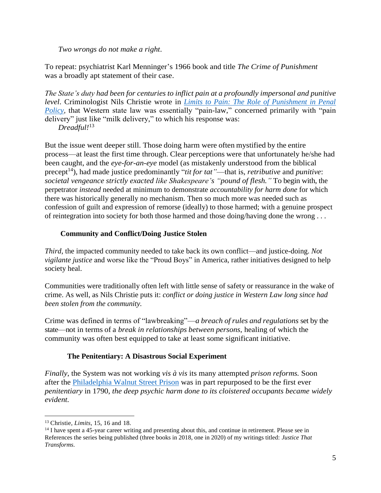*Two wrongs do not make a right*.

To repeat: psychiatrist Karl Menninger's 1966 book and title *The Crime of Punishment* was a broadly apt statement of their case.

*The State's duty had been for centuries to inflict pain at a profoundly impersonal and punitive level*. Criminologist Nils Christie wrote in *[Limits to Pain: The Role of Punishment in Penal](https://www.amazon.ca/Limits-Pain-Punishment-Penal-Policy/dp/1556355971/ref=sr_1_1?crid=2Z3VWNZC3HP1U&keywords=Limits+to+Pain&qid=1650079102&s=books&sprefix=limits+to+pain%2Cstripbooks%2C132&sr=1-1)  Policy*, that Western state law was essentially "pain-law," concerned primarily with "pain delivery" just like "milk delivery," to which his response was:

*Dreadful!*<sup>13</sup>

But the issue went deeper still. Those doing harm were often mystified by the entire process—at least the first time through. Clear perceptions were that unfortunately he/she had been caught, and the *eye-for-an-eye* model (as mistakenly understood from the biblical precept<sup>14</sup>), had made justice predominantly "*tit for tat"*—that is, *retributive* and *punitive*: *societal vengeance strictly exacted like Shakespeare's "pound of flesh."* To begin with, the perpetrator *instead* needed at minimum to demonstrate *accountability for harm done* for which there was historically generally no mechanism. Then so much more was needed such as confession of guilt and expression of remorse (ideally) to those harmed; with a genuine prospect of reintegration into society for both those harmed and those doing/having done the wrong . . .

## **Community and Conflict/Doing Justice Stolen**

*Third*, the impacted community needed to take back its own conflict—and justice-doing. *Not vigilante justice* and worse like the "Proud Boys" in America, rather initiatives designed to help society heal.

Communities were traditionally often left with little sense of safety or reassurance in the wake of crime. As well, as Nils Christie puts it: *conflict or doing justice in Western Law long since had been stolen from the community.*

Crime was defined in terms of "lawbreaking"—*a breach of rules and regulations* set by the state—not in terms of a *break in relationships between persons*, healing of which the community was often best equipped to take at least some significant initiative.

# **The Penitentiary: A Disastrous Social Experiment**

*Finally*, the System was not working *vis à vis* its many attempted *prison reforms.* Soon after the [Philadelphia Walnut Street Prison](https://en.wikipedia.org/wiki/Walnut_Street_Prison) was in part repurposed to be the first ever *penitentiary* in 1790, *the deep psychic harm done to its cloistered occupants became widely evident.* 

<sup>13</sup> Christie, *Limits*, 15, 16 and 18.

<sup>&</sup>lt;sup>14</sup> I have spent a 45-year career writing and presenting about this, and continue in retirement. Please see in References the series being published (three books in 2018, one in 2020) of my writings titled: *Justice That Transforms*.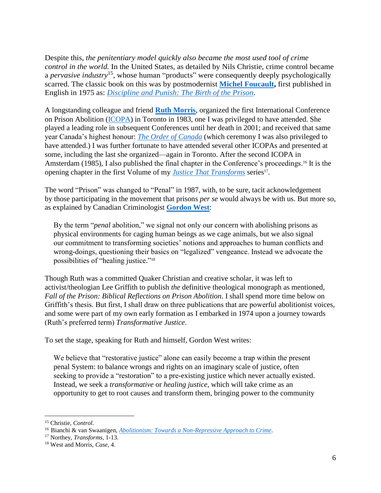Despite this, *the penitentiary model quickly also became the most used tool of crime control in the world.* In the United States, as detailed by Nils Christie, crime control became a *pervasive industry*<sup>15</sup>, whose human "products" were consequently deeply psychologically scarred. The classic book on this was by postmodernist **[Michel Foucault,](https://en.wikipedia.org/wiki/Michel_Foucault)** first published in English in 1975 as: *[Discipline and Punish: The Birth of the Prison](https://www.amazon.ca/Discipline-Punish-Prison-Michel-Foucault/dp/0679752552/ref=sr_1_1?crid=3IVQ6V8U3ROPQ&keywords=Discipline+and+Punish%3A+The+Birth+of+the+Prison&qid=1650062609&s=books&sprefix=discipline+and+punish+the+birth+of+the+prison%2Cstripbooks%2C160&sr=1-1)*.

A longstanding colleague and friend **[Ruth Morris](https://en.wikipedia.org/wiki/Ruth_Morris)**, organized the first International Conference on Prison Abolition [\(ICOPA\)](https://en.wikipedia.org/wiki/Prison_abolition_movement) in Toronto in 1983, one I was privileged to have attended. She played a leading role in subsequent Conferences until her death in 2001; and received that same year Canada's highest honour: *[The Order of Canada](https://en.wikipedia.org/wiki/Order_of_Canada)* (which ceremony I was also privileged to have attended.) I was further fortunate to have attended several other ICOPAs and presented at some, including the last she organized—again in Toronto. After the second ICOPA in Amsterdam (1985), I also published the final chapter in the Conference's proceedings.<sup>16</sup> It is the opening chapter in the first Volume of my *[Justice That Transforms](https://waynenorthey.com/justice/justice-that-transforms/)* series<sup>17</sup>.

The word "Prison" was changed to "Penal" in 1987, with, to be sure, tacit acknowledgement by those participating in the movement that prisons *per se* would always be with us. But more so, as explained by Canadian Criminologist **[Gordon West](https://books.google.ca/books/about/The_Case_for_Penal_Abolition.html?id=hIp2QgAACAAJ&redir_esc=y)**:

By the term "*penal* abolition," we signal not only our concern with abolishing prisons as physical environments for caging human beings as we cage animals, but we also signal our commitment to transforming societies' notions and approaches to human conflicts and wrong-doings, questioning their basics on "legalized" vengeance. Instead we advocate the possibilities of "healing justice." 18

Though Ruth was a committed Quaker Christian and creative scholar, it was left to activist/theologian Lee Griffith to publish *the* definitive theological monograph as mentioned, *Fall of the Prison: Biblical Reflections on Prison Abolition*. I shall spend more time below on Griffith's thesis. But first, I shall draw on three publications that are powerful abolitionist voices, and some were part of my own early formation as I embarked in 1974 upon a journey towards (Ruth's preferred term) *Transformative Justice*.

To set the stage, speaking for Ruth and himself, Gordon West writes:

We believe that "restorative justice" alone can easily become a trap within the present penal System: to balance wrongs and rights on an imaginary scale of justice, often seeking to provide a "restoration" to a pre-existing justice which never actually existed. Instead, we seek a *transformative* or *healing justice*, which will take crime as an opportunity to get to root causes and transform them, bringing power to the community

<sup>15</sup> Christie, *Control*.

<sup>16</sup> Bianchi & van Swaanigen, *[Abolitionism: Towards a Non-Repressive Approach to Crime](https://www.goodreads.com/book/show/48714996-abolitionism)*.

<sup>17</sup> Northey, *Transforms*, 1-13.

<sup>18</sup> West and Morris, *Case*, 4.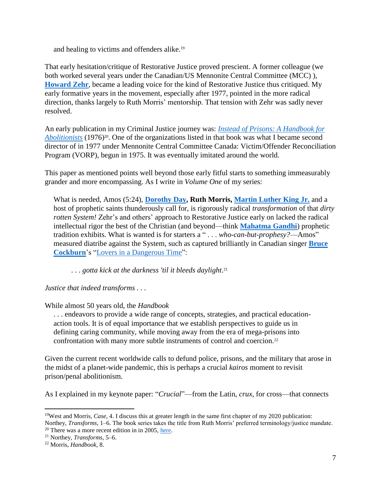and healing to victims and offenders alike.<sup>19</sup>

That early hesitation/critique of Restorative Justice proved prescient. A former colleague (we both worked several years under the Canadian/US Mennonite Central Committee (MCC) ), **[Howard Zehr](https://en.wikipedia.org/wiki/Howard_Zehr)**, became a leading voice for the kind of Restorative Justice thus critiqued. My early formative years in the movement, especially after 1977, pointed in the more radical direction, thanks largely to Ruth Morris' mentorship. That tension with Zehr was sadly never resolved.

An early publication in my Criminal Justice journey was: *[Instead of Prisons: A Handbook for](https://www.amazon.com/Instead-Prisons-Abolitionists-Honey-Knopp/dp/B000OO9KP8/ref=sr_1_2?crid=TWWLI2Q4GTRL&keywords=Instead+of+Prisons%3A+A+Handbook+for+Abolitionists&qid=1650063133&s=books&sprefix=instead+of+prisons+a+handbook+for+abolitionists%2Cstripbooks-intl-ship%2C136&sr=1-2)*  [Abolitionists](https://www.amazon.com/Instead-Prisons-Abolitionists-Honey-Knopp/dp/B000OO9KP8/ref=sr_1_2?crid=TWWLI2Q4GTRL&keywords=Instead+of+Prisons%3A+A+Handbook+for+Abolitionists&qid=1650063133&s=books&sprefix=instead+of+prisons+a+handbook+for+abolitionists%2Cstripbooks-intl-ship%2C136&sr=1-2) (1976)<sup>20</sup>. One of the organizations listed in that book was what I became second director of in 1977 under Mennonite Central Committee Canada: Victim/Offender Reconciliation Program (VORP), begun in 1975. It was eventually imitated around the world.

This paper as mentioned points well beyond those early fitful starts to something immeasurably grander and more encompassing. As I write in *Volume One* of my series:

What is needed, Amos (5:24), **[Dorothy Day,](https://en.wikipedia.org/wiki/Dorothy_Day) Ruth Morris, [Martin Luther King Jr.](https://en.wikipedia.org/wiki/Martin_Luther_King_Jr.)** and a host of prophetic saints thunderously call for, is rigorously radical *transformation* of that *dirty rotten System!* Zehr's and others' approach to Restorative Justice early on lacked the radical intellectual rigor the best of the Christian (and beyond—think **[Mahatma](file:///D:/OneDrive/Documents/RJWorld2/Mahatma%20Gandhi) Gandhi**) prophetic tradition exhibits. What is wanted is for starters a " . . . *who-can-but-prophesy?*—Amos" measured diatribe against the System, such as captured brilliantly in Canadian singer **[Bruce](https://en.wikipedia.org/wiki/Bruce_Cockburn)  [Cockburn](https://en.wikipedia.org/wiki/Bruce_Cockburn)**'s ["Lovers in a Dangerous Time"](https://en.wikipedia.org/wiki/Lovers_in_a_Dangerous_Time):

. . . *gotta kick at the darkness 'til it bleeds daylight*. 21

*Justice that indeed transforms . . .*

While almost 50 years old, the *Handbook*

. . . endeavors to provide a wide range of concepts, strategies, and practical educationaction tools. It is of equal importance that we establish perspectives to guide us in defining caring community, while moving away from the era of mega-prisons into confrontation with many more subtle instruments of control and coercion.<sup>22</sup>

Given the current recent worldwide calls to defund police, prisons, and the military that arose in the midst of a planet-wide pandemic, this is perhaps a crucial *kairos* moment to revisit prison/penal abolitionism.

As I explained in my keynote paper: "*Crucial*"—from the Latin, *crux*, for cross—that connects

<sup>&</sup>lt;sup>19</sup>West and Morris, *Case*, 4. I discuss this at greater length in the same first chapter of my 2020 publication: Northey, *Transforms*, 1–6. The book series takes the title from Ruth Morris' preferred terminology/justice mandate. <sup>20</sup> There was a more recent edition in in 2005[, here.](https://www.amazon.com/Instead-Prisons-Prison-Research-Education/dp/0976707012/ref=sr_1_1?crid=TWWLI2Q4GTRL&keywords=Instead+of+Prisons%3A+A+Handbook+for+Abolitionists&qid=1650063133&s=books&sprefix=instead+of+prisons+a+handbook+for+abolitionists%2Cstripbooks-intl-ship%2C136&sr=1-1)

<sup>21</sup> Northey, *Transforms*, 5–6.

<sup>22</sup> Morris, *Handbook*, 8.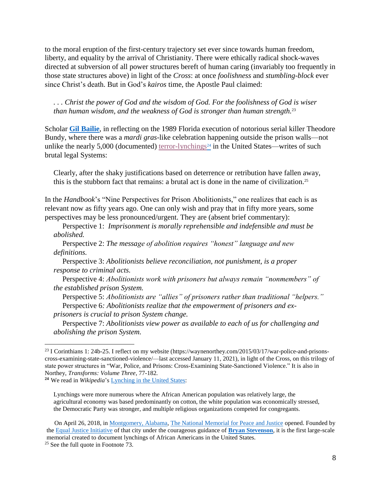to the moral eruption of the first-century trajectory set ever since towards human freedom, liberty, and equality by the arrival of Christianity. There were ethically radical shock-waves directed at subversion of all power structures bereft of human caring (invariably too frequently in those state structures above) in light of the *Cross*: at once *foolishness* and *stumbling-block* ever since Christ's death. But in God's *kairos* time, the Apostle Paul claimed:

*. . . Christ the power of God and the wisdom of God. For the foolishness of God is wiser than human wisdom, and the weakness of God is stronger than human strength.*<sup>23</sup>

Scholar **[Gil Bailie](https://cornerstone-forum.org/?page_id=361)**, in reflecting on the 1989 Florida execution of notorious serial killer Theodore Bundy, where there was a *mardi gras*-like celebration happening outside the prison walls—not unlike the nearly 5,000 (documented)  $\frac{\text{terror-lynchings}^{24}}{\text{teror-lychings}^{24}}$  $\frac{\text{terror-lynchings}^{24}}{\text{teror-lychings}^{24}}$  $\frac{\text{terror-lynchings}^{24}}{\text{teror-lychings}^{24}}$  in the United States—writes of such brutal legal Systems:

Clearly, after the shaky justifications based on deterrence or retribution have fallen away, this is the stubborn fact that remains: a brutal act is done in the name of civilization.<sup>25</sup>

In the *Handbook*'s "Nine Perspectives for Prison Abolitionists," one realizes that each is as relevant now as fifty years ago. One can only wish and pray that in fifty more years, some perspectives may be less pronounced/urgent. They are (absent brief commentary):

Perspective 1: *Imprisonment is morally reprehensible and indefensible and must be abolished.*

Perspective 2: *The message of abolition requires "honest" language and new definitions.*

Perspective 3: *Abolitionists believe reconciliation, not punishment, is a proper response to criminal acts.*

Perspective 4: *Abolitionists work with prisoners but always remain "nonmembers" of the established prison System.*

Perspective 5: *Abolitionists are "allies" of prisoners rather than traditional "helpers."* Perspective 6*: Abolitionists realize that the empowerment of prisoners and exprisoners is crucial to prison System change.*

Perspective 7: *Abolitionists view power as available to each of us for challenging and abolishing the prison System.*

**<sup>24</sup>** We read in *Wikipedia*'s Lynching in [the United States:](https://en.wikipedia.org/wiki/Lynching_in_the_United_States)

Lynchings were more numerous where the African American population was relatively large, the agricultural economy was based predominantly on cotton, the white population was economically stressed, the Democratic Party was stronger, and multiple religious organizations competed for congregants.

 On April 26, 2018, in [Montgomery, Alabama,](https://en.wikipedia.org/wiki/Montgomery,_Alabama) [The National Memorial for Peace and Justice](https://en.wikipedia.org/wiki/The_National_Memorial_for_Peace_and_Justice) opened. Founded by th[e Equal Justice Initiative](https://en.wikipedia.org/wiki/Equal_Justice_Initiative) of that city under the courageous guidance of **[Bryan Stevenson](https://en.wikipedia.org/wiki/Bryan_Stevenson)**, it is the first large-scale memorial created to document lynchings of African Americans in the United States.

 $25$  See the full quote in Footnote 73.

 $^{23}$  I Corinthians 1: 24b-25. I reflect on my website (https://waynenorthey.com/2015/03/17/war-police-and-prisonscross-examining-state-sanctioned-violence/—last accessed January 11, 2021), in light of the Cross, on this trilogy of state power structures in "War, Police, and Prisons: Cross-Examining State-Sanctioned Violence." It is also in Northey, *Transforms: Volume Three*, 77-182*.*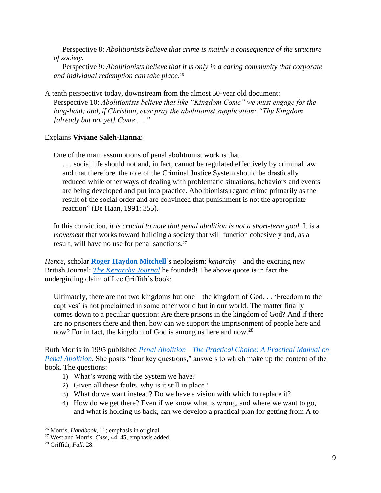Perspective 8: *Abolitionists believe that crime is mainly a consequence of the structure of society.*

Perspective 9: *Abolitionists believe that it is only in a caring community that corporate and individual redemption can take place.*<sup>26</sup>

A tenth perspective today, downstream from the almost 50-year old document: Perspective 10: *Abolitionists believe that like "Kingdom Come" we must engage for the long-haul; and, if Christian, ever pray the abolitionist supplication: "Thy Kingdom [already but not yet] Come . . ."*

#### Explains **Viviane Saleh-Hanna**:

One of the main assumptions of penal abolitionist work is that

. . . social life should not and, in fact, cannot be regulated effectively by criminal law and that therefore, the role of the Criminal Justice System should be drastically reduced while other ways of dealing with problematic situations, behaviors and events are being developed and put into practice. Abolitionists regard crime primarily as the result of the social order and are convinced that punishment is not the appropriate reaction" (De Haan, 1991: 355).

In this conviction, *it is crucial to note that penal abolition is not a short-term goal.* It is a *movement* that works toward building a society that will function cohesively and, as a result, will have no use for penal sanctions.<sup>27</sup>

*Hence*, scholar **[Roger Haydon](https://rogerhaydonmitchell.wordpress.com/) Mitchell**'s neologism: *kenarchy*—and the exciting new British Journal: *[The Kenarchy Journal](https://kenarchy.org/)* he founded! The above quote is in fact the undergirding claim of Lee Griffith's book:

Ultimately, there are not two kingdoms but one—the kingdom of God. . . 'Freedom to the captives' is not proclaimed in some other world but in our world. The matter finally comes down to a peculiar question: Are there prisons in the kingdom of God? And if there are no prisoners there and then, how can we support the imprisonment of people here and now? For in fact, the kingdom of God is among us here and now.<sup>28</sup>

Ruth Morris in 1995 published *[Penal Abolition—The Practical Choice: A Practical Manual on](https://www.amazon.com/Penal-Abolition-Practical-Choice-Manual/dp/1551300788/ref=sr_1_1?crid=RL15Z3HCQXD0&keywords=Penal+Abolition%E2%80%94The+Practical+Choice%3A+A+Practical+Manual+on+Penal+Abolition&qid=1650063723&s=books&sprefix=penal+abolition+the+practical+choice+a+practical+manual+on+penal+abolition%2Cstripbooks-intl-ship%2C159&sr=1-1)  [Penal Abolition.](https://www.amazon.com/Penal-Abolition-Practical-Choice-Manual/dp/1551300788/ref=sr_1_1?crid=RL15Z3HCQXD0&keywords=Penal+Abolition%E2%80%94The+Practical+Choice%3A+A+Practical+Manual+on+Penal+Abolition&qid=1650063723&s=books&sprefix=penal+abolition+the+practical+choice+a+practical+manual+on+penal+abolition%2Cstripbooks-intl-ship%2C159&sr=1-1)* She posits "four key questions," answers to which make up the content of the book. The questions:

- 1) What's wrong with the System we have?
- 2) Given all these faults, why is it still in place?
- 3) What do we want instead? Do we have a vision with which to replace it?
- 4) How do we get there? Even if we know what is wrong, and where we want to go, and what is holding us back, can we develop a practical plan for getting from A to

<sup>26</sup> Morris, *Handbook*, 11; emphasis in original.

<sup>27</sup> West and Morris, *Case*, 44–45, emphasis added.

<sup>28</sup> Griffith, *Fall*, 28.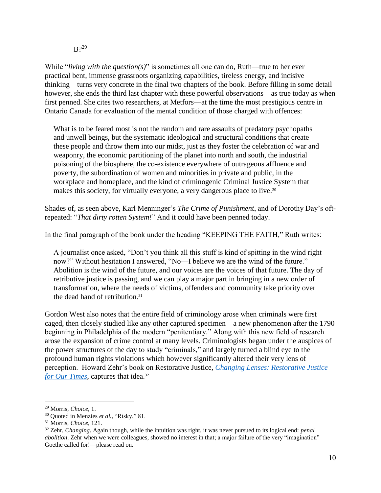$B$ ?<sup>29</sup>

While "*living with the question(s)*" is sometimes all one can do, Ruth—true to her ever practical bent, immense grassroots organizing capabilities, tireless energy, and incisive thinking—turns very concrete in the final two chapters of the book. Before filling in some detail however, she ends the third last chapter with these powerful observations—as true today as when first penned. She cites two researchers, at Metfors—at the time the most prestigious centre in Ontario Canada for evaluation of the mental condition of those charged with offences:

What is to be feared most is not the random and rare assaults of predatory psychopaths and unwell beings, but the systematic ideological and structural conditions that create these people and throw them into our midst, just as they foster the celebration of war and weaponry, the economic partitioning of the planet into north and south, the industrial poisoning of the biosphere, the co-existence everywhere of outrageous affluence and poverty, the subordination of women and minorities in private and public, in the workplace and homeplace, and the kind of criminogenic Criminal Justice System that makes this society, for virtually everyone, a very dangerous place to live.<sup>30</sup>

Shades of, as seen above, Karl Menninger's *The Crime of Punishment*, and of Dorothy Day's oftrepeated: "*That dirty rotten System!*" And it could have been penned today.

In the final paragraph of the book under the heading "KEEPING THE FAITH," Ruth writes:

A journalist once asked, "Don't you think all this stuff is kind of spitting in the wind right now?" Without hesitation I answered, "No—I believe we are the wind of the future." Abolition is the wind of the future, and our voices are the voices of that future. The day of retributive justice is passing, and we can play a major part in bringing in a new order of transformation, where the needs of victims, offenders and community take priority over the dead hand of retribution.<sup>31</sup>

Gordon West also notes that the entire field of criminology arose when criminals were first caged, then closely studied like any other captured specimen—a new phenomenon after the 1790 beginning in Philadelphia of the modern "penitentiary." Along with this new field of research arose the expansion of crime control at many levels. Criminologists began under the auspices of the power structures of the day to study "criminals," and largely turned a blind eye to the profound human rights violations which however significantly altered their very lens of perception. Howard Zehr's book on Restorative Justice, *[Changing Lenses: Restorative Justice](https://www.amazon.ca/Changing-Lenses-Howard-Zehr/dp/0836199472/ref=sr_1_1?crid=2J3SDCU330WXA&keywords=Changing+Lenses&qid=1650080132&s=books&sprefix=the+crime+of+punishment+menninger%2Cstripbooks%2C254&sr=1-1)  [for Our Times](https://www.amazon.ca/Changing-Lenses-Howard-Zehr/dp/0836199472/ref=sr_1_1?crid=2J3SDCU330WXA&keywords=Changing+Lenses&qid=1650080132&s=books&sprefix=the+crime+of+punishment+menninger%2Cstripbooks%2C254&sr=1-1)*, captures that idea.<sup>32</sup>

<sup>29</sup> Morris, *Choice*, 1.

<sup>30</sup> Quoted in Menzies *et al.*, "Risky," 81.

<sup>31</sup> Morris, *Choice*, 121.

<sup>32</sup> Zehr, *Changing*. Again though, while the intuition was right, it was never pursued to its logical end: *penal abolition*. Zehr when we were colleagues, showed no interest in that; a major failure of the very "imagination" Goethe called for!—please read on.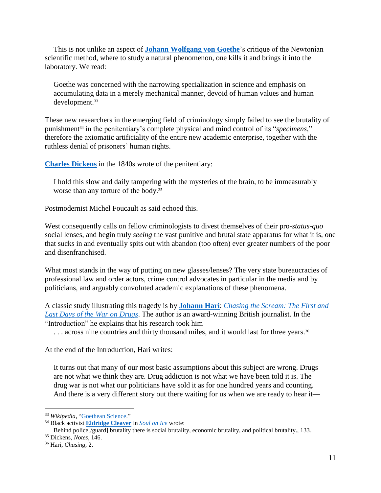This is not unlike an aspect of **Johann Wolfgang [von Goethe](https://en.wikipedia.org/wiki/Johann_Wolfgang_von_Goethe)**'s critique of the Newtonian scientific method, where to study a natural phenomenon, one kills it and brings it into the laboratory. We read:

Goethe was concerned with the narrowing specialization in science and emphasis on accumulating data in a merely mechanical manner, devoid of human values and human development.<sup>33</sup>

These new researchers in the emerging field of criminology simply failed to see the brutality of punishment<sup>34</sup> in the penitentiary's complete physical and mind control of its "*specimens*," therefore the axiomatic artificiality of the entire new academic enterprise, together with the ruthless denial of prisoners' human rights.

**[Charles Dickens](https://en.wikipedia.org/wiki/Charles_Dickens)** in the 1840s wrote of the penitentiary:

I hold this slow and daily tampering with the mysteries of the brain, to be immeasurably worse than any torture of the body.<sup>35</sup>

Postmodernist Michel Foucault as said echoed this.

West consequently calls on fellow criminologists to divest themselves of their pro-*status-quo* social lenses, and begin truly *seeing* the vast punitive and brutal state apparatus for what it is, one that sucks in and eventually spits out with abandon (too often) ever greater numbers of the poor and disenfranchised.

What most stands in the way of putting on new glasses/lenses? The very state bureaucracies of professional law and order actors, crime control advocates in particular in the media and by politicians, and arguably convoluted academic explanations of these phenomena.

A classic study illustrating this tragedy is by **[Johann Hari](https://en.wikipedia.org/wiki/Johann_Hari)**: *[Chasing the Scream: The First and](https://www.amazon.ca/Chasing-Scream-Opposite-Addiction-Connection/dp/1620408910/ref=sr_1_2?crid=26ICJYSIJ21DG&keywords=Chasing+the+Scream%3A+The+First+and+Last+Days+of+the+War+on+Drugs&qid=1650080293&s=books&sprefix=chasing+the+scream+the+first+and+last+days+of+the+war+on+drugs%2Cstripbooks%2C125&sr=1-2)  [Last Days of the War on Drugs](https://www.amazon.ca/Chasing-Scream-Opposite-Addiction-Connection/dp/1620408910/ref=sr_1_2?crid=26ICJYSIJ21DG&keywords=Chasing+the+Scream%3A+The+First+and+Last+Days+of+the+War+on+Drugs&qid=1650080293&s=books&sprefix=chasing+the+scream+the+first+and+last+days+of+the+war+on+drugs%2Cstripbooks%2C125&sr=1-2)*. The author is an award-winning British journalist. In the "Introduction" he explains that his research took him

... across nine countries and thirty thousand miles, and it would last for three years.<sup>36</sup>

At the end of the Introduction, Hari writes:

It turns out that many of our most basic assumptions about this subject are wrong. Drugs are not what we think they are. Drug addiction is not what we have been told it is. The drug war is not what our politicians have sold it as for one hundred years and counting. And there is a very different story out there waiting for us when we are ready to hear it—

 $\overline{a}$ <sup>33</sup> *Wikipedia,* ["Goethean Science.](https://en.wikipedia.org/wiki/Goethean_science)"

<sup>34</sup> Black activist **[Eldridge Cleaver](https://en.wikipedia.org/wiki/Eldridge_Cleaver)** in *[Soul on Ice](https://www.amazon.ca/Soul-Ice-Eldridge-Cleaver/dp/038533379X/ref=sr_1_1?crid=34WIW94QO55NZ&keywords=Soul+on+Ice&qid=1650080335&s=books&sprefix=soul+on+ice%2Cstripbooks%2C155&sr=1-1)* wrote:

Behind police[/guard] brutality there is social brutality, economic brutality, and political brutality., 133.

<sup>35</sup> Dickens, *Notes*, 146.

<sup>36</sup> Hari, *Chasing*, 2.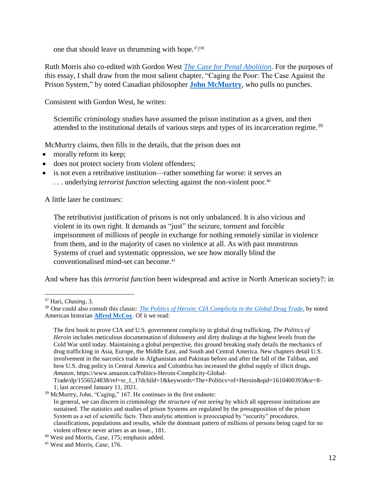one that should leave us thrumming with hope. 37/ 38

Ruth Morris also co-edited with Gordon West *[The Case for Penal Abolition](https://www.amazon.ca/Case-Penal-Abolition-Gordon-West/dp/1551301474/ref=sr_1_1?crid=2463X6SBGN9IQ&keywords=The+Case+for+Penal+Abolition&qid=1650080411&s=books&sprefix=the+case+for+penal+abolition%2Cstripbooks%2C128&sr=1-1)*. For the purposes of this essay, I shall draw from the most salient chapter, "Caging the Poor: The Case Against the Prison System," by noted Canadian philosopher **[John McMurtry](https://en.wikipedia.org/wiki/John_McMurtry_(academic))**, who pulls no punches.

Consistent with Gordon West, he writes:

Scientific criminology studies have assumed the prison institution as a given, and then attended to the institutional details of various steps and types of its incarceration regime.<sup>39</sup>

McMurtry claims, then fills in the details, that the prison does not

- morally reform its keep;
- does not protect society from violent offenders;
- is not even a retributive institution—rather something far worse: it serves an ... underlying *terrorist function* selecting against the non-violent poor.<sup>40</sup>

A little later he continues:

The retributivist justification of prisons is not only unbalanced. It is also vicious and violent in its own right. It demands as "just" the seizure, torment and forcible imprisonment of millions of people in exchange for nothing remotely similar in violence from them, and in the majority of cases no violence at all. As with past monstrous Systems of cruel and systematic oppression, we see how morally blind the conventionalised mind-set can become.<sup>41</sup>

And where has this *terrorist function* been widespread and active in North American society?: in

 $\overline{a}$ 

<sup>39</sup> McMurtry, John, "Caging," 167. He continues in the first endnote:

<sup>37</sup> Hari, *Chasing*, 3.

<sup>38</sup> One could also consult this classic: *[The Politics of Heroin: CIA Complicity in the Global Drug Trade](https://www.amazon.ca/Politics-Heroin-Complicity-Global-Trade/dp/1556524838/ref=sr_1_1?crid=32UA2UOOYLWDE&keywords=The+Politics+of+Heroin%3A+CIA+Complicity+in+the+Global+Drug+Trade&qid=1650080373&s=books&sprefix=the+politics+of+heroin+cia+complicity+in+the+global+drug+trade%2Cstripbooks%2C145&sr=1-1)*, by noted American historian **[Alfred McCoy](https://en.wikipedia.org/wiki/Alfred_W._McCoy)**. Of it we read:

The first book to prove CIA and U.S. government complicity in global drug trafficking, *The Politics of Heroin* includes meticulous documentation of dishonesty and dirty dealings at the highest levels from the Cold War until today. Maintaining a global perspective, this ground breaking study details the mechanics of drug trafficking in Asia, Europe, the Middle East, and South and Central America. New chapters detail U.S. involvement in the narcotics trade in Afghanistan and Pakistan before and after the fall of the Taliban, and how U.S. drug policy in Central America and Colombia has increased the global supply of illicit drugs**.** *Amazon*, https://www.amazon.ca/Politics-Heroin-Complicity-Global-

Trade/dp/1556524838/ref=sr\_1\_1?dchild=1&keywords=The+Politics+of+Heroin&qid=1610400393&sr=8- 1; last accessed January 11, 2021.

In general, we can discern in criminology *the structure of not seeing* by which all oppressor institutions are sustained. The statistics and studies of prison Systems are regulated by the presupposition of the prison System as a set of scientific facts. Then analytic attention is preoccupied by "security" procedures, classifications, populations and results, while the dominant pattern of millions of persons being caged for no violent offence never arises as an issue., 181.

<sup>40</sup> West and Morris, *Case*, 175; emphasis added.

<sup>41</sup> West and Morris, *Case*, 176.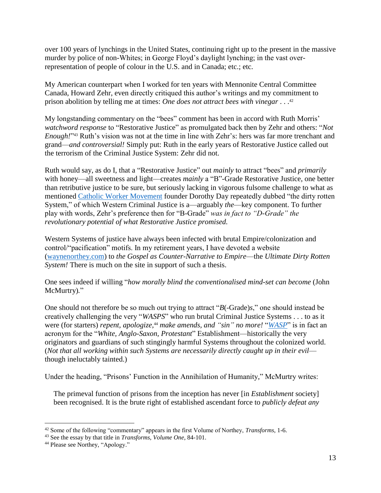over 100 years of lynchings in the United States, continuing right up to the present in the massive murder by police of non-Whites; in George Floyd's daylight lynching; in the vast overrepresentation of people of colour in the U.S. and in Canada; etc.; etc.

My American counterpart when I worked for ten years with Mennonite Central Committee Canada, Howard Zehr, even directly critiqued this author's writings and my commitment to prison abolition by telling me at times: *One does not attract bees with vinegar* . . . 42

My longstanding commentary on the "bees" comment has been in accord with Ruth Morris' *watchword response* to "Restorative Justice" as promulgated back then by Zehr and others: "*Not Enough!*" <sup>43</sup> Ruth's vision was not at the time in line with Zehr's: hers was far more trenchant and grand—*and controversial!* Simply put: Ruth in the early years of Restorative Justice called out the terrorism of the Criminal Justice System: Zehr did not.

Ruth would say, as do I, that a "Restorative Justice" out *mainly* to attract "bees" and *primarily* with honey—all sweetness and light—creates *mainly* a "B"-Grade Restorative Justice, one better than retributive justice to be sure, but seriously lacking in vigorous fulsome challenge to what as mentioned [Catholic Worker](https://en.wikipedia.org/wiki/Catholic_Worker_Movement) Movement founder Dorothy Day repeatedly dubbed "the dirty rotten System," of which Western Criminal Justice is a—arguably *the*—key component. To further play with words, Zehr's preference then for "B-Grade" *was in fact to "D-Grade" the revolutionary potential of what Restorative Justice promised.* 

Western Systems of justice have always been infected with brutal Empire/colonization and control/"pacification" motifs. In my retirement years, I have devoted a website [\(waynenorthey.com\)](https://waynenorthey.com/justice/justice-that-transforms/) to *the Gospel as Counter-Narrative to Empire*—the *Ultimate Dirty Rotten System!* There is much on the site in support of such a thesis.

One sees indeed if willing "*how morally blind the conventionalised mind-set can become* (John McMurtry)*.*"

One should not therefore be so much out trying to attract "*B*(-Grade)*s*," one should instead be creatively challenging the very "*WASPS*" who run brutal Criminal Justice Systems . . . to as it were (for starters) *repent, apologize,* <sup>44</sup> *make amends, and "sin" no more!* "*[WASP](https://en.wikipedia.org/wiki/White_Anglo-Saxon_Protestants)*" is in fact an acronym for the "*White, Anglo-Saxon, Protestant*" Establishment—historically the very originators and guardians of such stingingly harmful Systems throughout the colonized world. (*Not that all working within such Systems are necessarily directly caught up in their evil* though ineluctably tainted.)

Under the heading, "Prisons' Function in the Annihilation of Humanity," McMurtry writes:

The primeval function of prisons from the inception has never [in *Establishment* society] been recognised. It is the brute right of established ascendant force to *publicly defeat any* 

 $\overline{a}$ <sup>42</sup> Some of the following "commentary" appears in the first Volume of Northey, *Transforms*, 1-6.

<sup>43</sup> See the essay by that title in *Transforms*, *Volume One*, 84-101.

<sup>44</sup> Please see Northey, "Apology."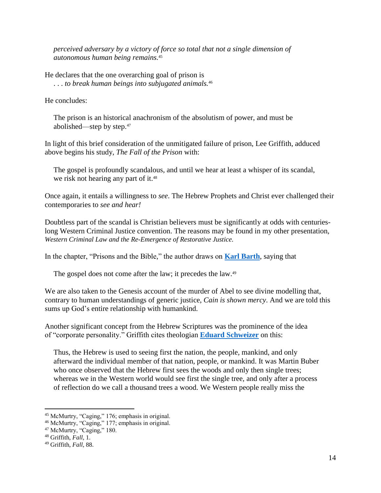*perceived adversary by a victory of force so total that not a single dimension of autonomous human being remains.*<sup>45</sup>

He declares that the one overarching goal of prison is . . . *to break human beings into subjugated animals.*<sup>46</sup>

He concludes:

The prison is an historical anachronism of the absolutism of power, and must be abolished—step by step.<sup>47</sup>

In light of this brief consideration of the unmitigated failure of prison, Lee Griffith, adduced above begins his study, *The Fall of the Prison* with:

The gospel is profoundly scandalous, and until we hear at least a whisper of its scandal, we risk not hearing any part of it.<sup>48</sup>

Once again, it entails a willingness to *see*. The Hebrew Prophets and Christ ever challenged their contemporaries to *see and hear!*

Doubtless part of the scandal is Christian believers must be significantly at odds with centurieslong Western Criminal Justice convention. The reasons may be found in my other presentation, *Western Criminal Law and the Re-Emergence of Restorative Justice.*

In the chapter, "Prisons and the Bible," the author draws on **[Karl Barth](https://en.wikipedia.org/wiki/Karl_Barth)**, saying that

The gospel does not come after the law; it precedes the law.<sup>49</sup>

We are also taken to the Genesis account of the murder of Abel to see divine modelling that, contrary to human understandings of generic justice, *Cain is shown mercy*. And we are told this sums up God's entire relationship with humankind.

Another significant concept from the Hebrew Scriptures was the prominence of the idea of "corporate personality." Griffith cites theologian **[Eduard Schweizer](https://en.wikipedia.org/wiki/Eduard_Schweizer)** on this:

Thus, the Hebrew is used to seeing first the nation, the people, mankind, and only afterward the individual member of that nation, people, or mankind. It was Martin Buber who once observed that the Hebrew first sees the woods and only then single trees; whereas we in the Western world would see first the single tree, and only after a process of reflection do we call a thousand trees a wood. We Western people really miss the

<sup>45</sup> McMurtry, "Caging," 176; emphasis in original.

<sup>46</sup> McMurtry, "Caging," 177; emphasis in original.

<sup>47</sup> McMurtry, "Caging," 180.

<sup>48</sup> Griffith, *Fall*, 1.

<sup>49</sup> Griffith, *Fall*, 88.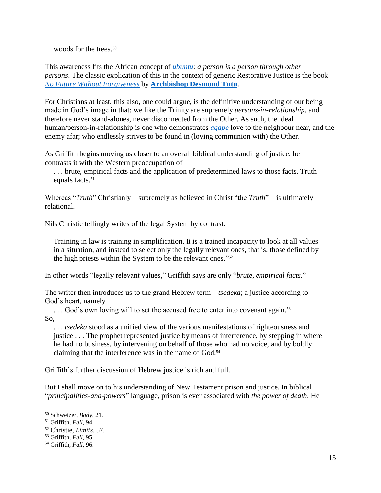woods for the trees.<sup>50</sup>

This awareness fits the African concept of *[ubuntu](https://en.wikipedia.org/wiki/Ubuntu)*: *a person is a person through other persons*. The classic explication of this in the context of generic Restorative Justice is the book *[No Future Without Forgiveness](https://www.amazon.ca/Future-Without-Forgiveness-Desmond-Tutu/dp/0385496907/ref=sr_1_1?crid=LMD2TA8T5VX0&keywords=No+Future+Without+Forgiveness&qid=1650082165&s=books&sprefix=no+future+without+forgiveness+%2Cstripbooks%2C423&sr=1-1)* by **[Archbishop Desmond Tutu](https://en.wikipedia.org/wiki/Desmond_Tutu)**.

For Christians at least, this also, one could argue, is the definitive understanding of our being made in God's image in that: we like the Trinity are supremely *persons-in-relationship*, and therefore never stand-alones, never disconnected from the Other. As such, the ideal human/person-in-relationship is one who demonstrates *[agape](https://en.wikipedia.org/wiki/Agape)* love to the neighbour near, and the enemy afar; who endlessly strives to be found in (loving communion with) the Other.

As Griffith begins moving us closer to an overall biblical understanding of justice, he contrasts it with the Western preoccupation of

. . . brute, empirical facts and the application of predetermined laws to those facts. Truth equals facts.<sup>51</sup>

Whereas "*Truth*" Christianly—supremely as believed in Christ "the *Truth*"—is ultimately relational.

Nils Christie tellingly writes of the legal System by contrast:

Training in law is training in simplification. It is a trained incapacity to look at all values in a situation, and instead to select only the legally relevant ones, that is, those defined by the high priests within the System to be the relevant ones."<sup>52</sup>

In other words "legally relevant values," Griffith says are only "*brute, empirical facts.*"

The writer then introduces us to the grand Hebrew term—*tsedeka*; a justice according to God's heart, namely

... God's own loving will to set the accused free to enter into covenant again.<sup>53</sup> So,

. . . *tsedeka* stood as a unified view of the various manifestations of righteousness and justice . . . The prophet represented justice by means of interference, by stepping in where he had no business, by intervening on behalf of those who had no voice, and by boldly claiming that the interference was in the name of God.<sup>54</sup>

Griffith's further discussion of Hebrew justice is rich and full.

But I shall move on to his understanding of New Testament prison and justice. In biblical "*principalities-and-powers*" language, prison is ever associated with *the power of death*. He

<sup>50</sup> Schweizer, *Body*, 21.

<sup>51</sup> Griffith, *Fall*, 94.

<sup>52</sup> Christie, *Limits,* 57.

<sup>53</sup> Griffith, *Fall*, 95.

<sup>54</sup> Griffith, *Fall*, 96.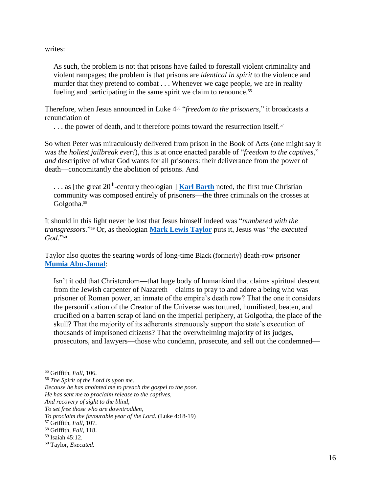writes:

As such, the problem is not that prisons have failed to forestall violent criminality and violent rampages; the problem is that prisons are *identical in spirit* to the violence and murder that they pretend to combat . . . Whenever we cage people, we are in reality fueling and participating in the same spirit we claim to renounce.<sup>55</sup>

Therefore, when Jesus announced in Luke 4<sup>56</sup> "*freedom to the prisoners*," it broadcasts a renunciation of

... the power of death, and it therefore points toward the resurrection itself.<sup>57</sup>

So when Peter was miraculously delivered from prison in the Book of Acts (one might say it was *the holiest jailbreak ever!*), this is at once enacted parable of "*freedom to the captives*," *and* descriptive of what God wants for all prisoners: their deliverance from the power of death—concomitantly the abolition of prisons. And

... as [the great 20<sup>th</sup>-century theologian ] **[Karl Barth](https://en.wikipedia.org/wiki/Karl_Barth)** noted, the first true Christian community was composed entirely of prisoners—the three criminals on the crosses at Golgotha. 58

It should in this light never be lost that Jesus himself indeed was "*numbered with the transgressors.*" <sup>59</sup> Or, as theologian **[Mark Lewis Taylor](https://en.wikipedia.org/wiki/Mark_Lewis_Taylor)** puts it, Jesus was "*the executed*  God."<sup>60</sup>

Taylor also quotes the searing words of long-time Black (formerly) death-row prisoner **[Mumia Abu-Jamal](https://en.wikipedia.org/wiki/Mumia_Abu-Jamal)**:

Isn't it odd that Christendom—that huge body of humankind that claims spiritual descent from the Jewish carpenter of Nazareth—claims to pray to and adore a being who was prisoner of Roman power, an inmate of the empire's death row? That the one it considers the personification of the Creator of the Universe was tortured, humiliated, beaten, and crucified on a barren scrap of land on the imperial periphery, at Golgotha, the place of the skull? That the majority of its adherents strenuously support the state's execution of thousands of imprisoned citizens? That the overwhelming majority of its judges, prosecutors, and lawyers—those who condemn, prosecute, and sell out the condemned—

<sup>55</sup> Griffith, *Fall*, 106.

<sup>56</sup> *The Spirit of the Lord is upon me.*

*Because he has anointed me to preach the gospel to the poor.*

*He has sent me to proclaim release to the captives,*

*And recovery of sight to the blind,*

*To set free those who are downtrodden,*

*To proclaim the favourable year of the Lord.* (Luke 4:18-19)

<sup>57</sup> Griffith, *Fall*, 107.

<sup>58</sup> Griffith, *Fall*, 118.

<sup>59</sup> Isaiah 45:12.

<sup>60</sup> Taylor, *Executed*.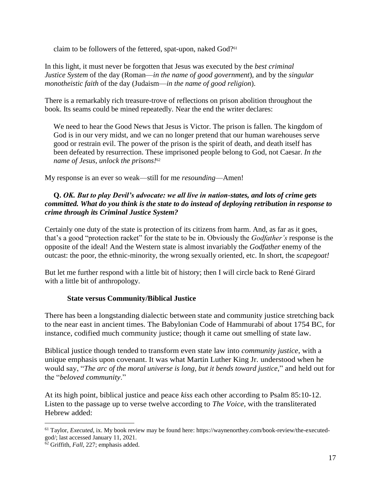claim to be followers of the fettered, spat-upon, naked God?<sup>61</sup>

In this light, it must never be forgotten that Jesus was executed by the *best criminal Justice System* of the day (Roman—*in the name of good government*), and by the *singular monotheistic faith* of the day (Judaism—*in the name of good religion*).

There is a remarkably rich treasure-trove of reflections on prison abolition throughout the book. Its seams could be mined repeatedly. Near the end the writer declares:

We need to hear the Good News that Jesus is Victor. The prison is fallen. The kingdom of God is in our very midst, and we can no longer pretend that our human warehouses serve good or restrain evil. The power of the prison is the spirit of death, and death itself has been defeated by resurrection. These imprisoned people belong to God, not Caesar. *In the name of Jesus, unlock the prisons!*<sup>62</sup>

My response is an ever so weak—still for me *resounding*—Amen!

## **Q.** *OK. But to play Devil's advocate: we all live in nation-states, and lots of crime gets committed. What do you think is the state to do instead of deploying retribution in response to crime through its Criminal Justice System?*

Certainly one duty of the state is protection of its citizens from harm. And, as far as it goes, that's a good "protection racket" for the state to be in. Obviously the *Godfather's* response is the opposite of the ideal! And the Western state is almost invariably the *Godfather* enemy of the outcast: the poor, the ethnic-minority, the wrong sexually oriented, etc. In short, the *scapegoat!*

But let me further respond with a little bit of history; then I will circle back to René Girard with a little bit of anthropology.

## **State versus Community/Biblical Justice**

There has been a longstanding dialectic between state and community justice stretching back to the near east in ancient times. The Babylonian Code of Hammurabi of about 1754 BC, for instance, codified much community justice; though it came out smelling of state law.

Biblical justice though tended to transform even state law into *community justice*, with a unique emphasis upon covenant. It was what Martin Luther King Jr. understood when he would say, "*The arc of the moral universe is long, but it bends toward justice*," and held out for the "*beloved community*."

At its high point, biblical justice and peace *kiss* each other according to Psalm 85:10-12. Listen to the passage up to verse twelve according to *The Voice*, with the transliterated Hebrew added:

 $\overline{a}$ <sup>61</sup> Taylor, *Executed*, ix. My book review may be found here[: https://waynenorthey.com/book-review/the-executed](https://waynenorthey.com/book-review/the-executed-god/)[god/;](https://waynenorthey.com/book-review/the-executed-god/) last accessed January 11, 2021.

<sup>&</sup>lt;sup>62</sup> Griffith, *Fall*, 227; emphasis added.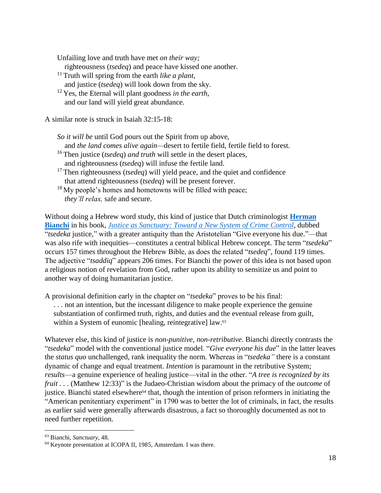Unfailing love and truth have met *on their way;*

righteousness (*tsedeq*) and peace have kissed one another.

- <sup>11</sup> Truth will spring from the earth *like a plant,* and justice (*tsedeq*) will look down from the sky.
- <sup>12</sup> Yes, the Eternal will plant goodness *in the earth,*  and our land will yield great abundance.

A similar note is struck in Isaiah 32:15-18:

*So it will be* until God pours out the Spirit from up above,

and *the land comes alive again—*desert to fertile field, fertile field to forest.

- <sup>16</sup> Then justice (*tsedeq*) *and truth* will settle in the desert places, and righteousness (*tsedeq*) will infuse the fertile land.
- <sup>17</sup> Then righteousness (*tsedeq*) will yield peace, and the quiet and confidence that attend righteousness (*tsedeq*) will be present forever.
- $18$  My people's homes and hometowns will be filled with peace; *they'll relax,* safe and secure.

Without doing a Hebrew word study, this kind of justice that Dutch criminologist **[Herman](https://journals.openedition.org/chs/1676?lang=en)  [Bianchi](https://journals.openedition.org/chs/1676?lang=en)** in his book, *[Justice as Sanctuary: Toward a New System](https://www.amazon.ca/Justice-as-Sanctuary-Herman-Bianchi/dp/1608996905/ref=sr_1_1?crid=QLJ4MQGE27YS&keywords=Justice+as+Sanctuary%3A+Toward+a+New+System+of+Crime+Control&qid=1650080599&s=books&sprefix=justice+as+sanctuary+toward+a+new+system+of+crime+control%2Cstripbooks%2C134&sr=1-1) of Crime Control*, dubbed "*tsedeka* justice," with a greater antiquity than the Aristotelian "Give everyone his due."—that was also rife with inequities—constitutes a central biblical Hebrew concept. The term "*tsedeka*" occurs 157 times throughout the Hebrew Bible, as does the related "*tsedeq*", found 119 times. The adjective "*tsaddiq*" appears 206 times. For Bianchi the power of this idea is not based upon a religious notion of revelation from God, rather upon its ability to sensitize us and point to another way of doing humanitarian justice.

A provisional definition early in the chapter on "*tsedeka*" proves to be his final:

. . . not an intention, but the incessant diligence to make people experience the genuine substantiation of confirmed truth, rights, and duties and the eventual release from guilt, within a System of eunomic [healing, reintegrative] law.<sup>63</sup>

Whatever else, this kind of justice is *non-punitive*, *non-retributive*. Bianchi directly contrasts the "*tsedeka*" model with the conventional justice model. "*Give everyone his due*" in the latter leaves the *status quo* unchallenged, rank inequality the norm. Whereas in "*tsedeka"* there is a constant dynamic of change and equal treatment. *Intention* is paramount in the retributive System; *results*—a genuine experience of healing justice—vital in the other. "*A tree is recognized by its fruit . . .* (Matthew 12:33)" is the Judaeo-Christian wisdom about the primacy of the *outcome* of justice. Bianchi stated elsewhere<sup>64</sup> that, though the intention of prison reformers in initiating the "American penitentiary experiment" in 1790 was to better the lot of criminals, in fact, the results as earlier said were generally afterwards disastrous, a fact so thoroughly documented as not to need further repetition.

<sup>63</sup> Bianchi, *Sanctuary*, 48.

<sup>64</sup> Keynote presentation at ICOPA II, 1985, Amsterdam. I was there.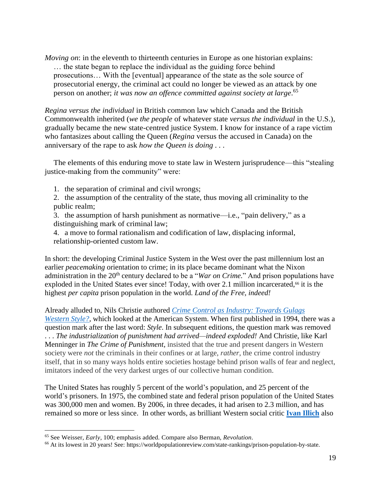*Moving on*: in the eleventh to thirteenth centuries in Europe as one historian explains: … the state began to replace the individual as the guiding force behind prosecutions… With the [eventual] appearance of the state as the sole source of prosecutorial energy, the criminal act could no longer be viewed as an attack by one person on another; *it was now an offence committed against society at large*. 65

*Regina versus the individual* in British common law which Canada and the British Commonwealth inherited (*we the people* of whatever state *versus the individual* in the U.S.), gradually became the new state-centred justice System. I know for instance of a rape victim who fantasizes about calling the Queen (*Regina* versus the accused in Canada) on the anniversary of the rape to ask *how the Queen is doing . . .*

The elements of this enduring move to state law in Western jurisprudence—this "stealing justice-making from the community" were:

1. the separation of criminal and civil wrongs;

2. the assumption of the centrality of the state, thus moving all criminality to the public realm;

3. the assumption of harsh punishment as normative—i.e., "pain delivery," as a distinguishing mark of criminal law;

4. a move to formal rationalism and codification of law, displacing informal, relationship-oriented custom law.

In short: the developing Criminal Justice System in the West over the past millennium lost an earlier *peacemaking* orientation to crime; in its place became dominant what the Nixon administration in the 20<sup>th</sup> century declared to be a "*War on Crime*." And prison populations have exploded in the United States ever since! Today, with over 2.1 million incarcerated,<sup>66</sup> it is the highest *per capita* prison population in the world. *Land of the Free, indeed!* 

Already alluded to, Nils Christie authored *[Crime Control as Industry: Towards Gulags](https://www.amazon.ca/Crime-Control-As-Industry-Routledge-ebook/dp/B01M1NR924/ref=sr_1_1?crid=34A8C3IXV6N2K&keywords=Crime+Control+as+Industry%3A+Towards+Gulags+Western+Style%3F&qid=1650427981&s=digital-text&sprefix=crime+control+as+industry+towards+gulags+western+style+%2Cdigital-text%2C133&sr=1-1)  [Western Style?,](https://www.amazon.ca/Crime-Control-As-Industry-Routledge-ebook/dp/B01M1NR924/ref=sr_1_1?crid=34A8C3IXV6N2K&keywords=Crime+Control+as+Industry%3A+Towards+Gulags+Western+Style%3F&qid=1650427981&s=digital-text&sprefix=crime+control+as+industry+towards+gulags+western+style+%2Cdigital-text%2C133&sr=1-1)* which looked at the American System. When first published in 1994, there was a question mark after the last word: *Style*. In subsequent editions, the question mark was removed . . . *The industrialization of punishment had arrived—indeed exploded!* And Christie, like Karl Menninger in *The Crime of Punishment*, insisted that the true and present dangers in Western society were *not* the criminals in their confines or at large, *rather*, the crime control industry itself, that in so many ways holds entire societies hostage behind prison walls of fear and neglect, imitators indeed of the very darkest urges of our collective human condition.

The United States has roughly 5 percent of the world's population, and 25 percent of the world's prisoners. In 1975, the combined state and federal prison population of the United States was 300,000 men and women. By 2006, in three decades, it had arisen to 2.3 million, and has remained so more or less since. In other words, as brilliant Western social critic **[Ivan Illich](https://en.wikipedia.org/wiki/Ivan_Illich)** also

<sup>65</sup> See Weisser, *Early*, 100; emphasis added. Compare also Berman, *Revolution*.

<sup>66</sup> At its lowest in 20 years! See: https://worldpopulationreview.com/state-rankings/prison-population-by-state.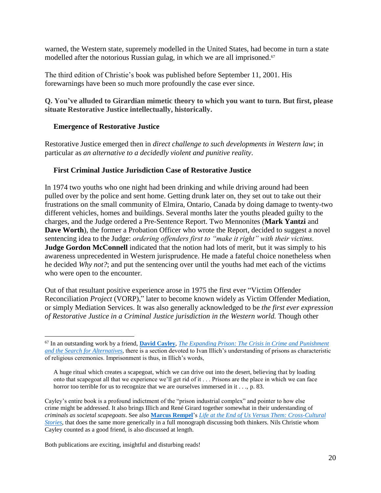warned, the Western state, supremely modelled in the United States, had become in turn a state modelled after the notorious Russian gulag, in which we are all imprisoned.<sup>67</sup>

The third edition of Christie's book was published before September 11, 2001. His forewarnings have been so much more profoundly the case ever since.

# **Q. You've alluded to Girardian mimetic theory to which you want to turn. But first, please situate Restorative Justice intellectually, historically.**

## **Emergence of Restorative Justice**

Restorative Justice emerged then in *direct challenge to such developments in Western law*; in particular as *an alternative to a decidedly violent and punitive reality*.

# **First Criminal Justice Jurisdiction Case of Restorative Justice**

In 1974 two youths who one night had been drinking and while driving around had been pulled over by the police and sent home. Getting drunk later on, they set out to take out their frustrations on the small community of Elmira, Ontario, Canada by doing damage to twenty-two different vehicles, homes and buildings. Several months later the youths pleaded guilty to the charges, and the Judge ordered a Pre-Sentence Report. Two Mennonites (**Mark Yantzi** and **Dave Worth**), the former a Probation Officer who wrote the Report, decided to suggest a novel sentencing idea to the Judge: *ordering offenders first to "make it right" with their victims.* **Judge Gordon McConnell** indicated that the notion had lots of merit, but it was simply to his awareness unprecedented in Western jurisprudence. He made a fateful choice nonetheless when he decided *Why not?*; and put the sentencing over until the youths had met each of the victims who were open to the encounter.

Out of that resultant positive experience arose in 1975 the first ever "Victim Offender Reconciliation *Project* (VORP)," later to become known widely as Victim Offender Mediation, or simply Mediation Services. It was also generally acknowledged to be *the first ever expression of Restorative Justice in a Criminal Justice jurisdiction in the Western world.* Though other

Both publications are exciting, insightful and disturbing reads!

<sup>67</sup> In an outstanding work by a friend, **[David Cayley](https://www.davidcayley.com/)**, *[The Expanding Prison: The Crisis in Crime and Punishment](https://www.amazon.ca/Expanding-Prison-Crisis-Punishment-Alternatives/dp/0887846033/ref=sr_1_1?crid=3JJEAGHXIZPK4&keywords=The+Expanding+Prison%3A+The+Crisis+in+Crime+and+Punishment+and+the+Search+for+Alternatives&qid=1650080720&s=books&sprefix=the+expanding+prison+the+crisis+in+crime+and+punishment+and+the+search+for+alternatives%2Cstripbooks%2C166&sr=1-1)  [and the Search for Alternatives](https://www.amazon.ca/Expanding-Prison-Crisis-Punishment-Alternatives/dp/0887846033/ref=sr_1_1?crid=3JJEAGHXIZPK4&keywords=The+Expanding+Prison%3A+The+Crisis+in+Crime+and+Punishment+and+the+Search+for+Alternatives&qid=1650080720&s=books&sprefix=the+expanding+prison+the+crisis+in+crime+and+punishment+and+the+search+for+alternatives%2Cstripbooks%2C166&sr=1-1)*, there is a section devoted to Ivan Illich's understanding of prisons as characteristic of religious ceremonies. Imprisonment is thus, in Illich's words,

A huge ritual which creates a scapegoat, which we can drive out into the desert, believing that by loading onto that scapegoat all that we experience we'll get rid of it . . . Prisons are the place in which we can face horror too terrible for us to recognize that we are ourselves immersed in it . . ., p. 83.

Cayley's entire book is a profound indictment of the "prison industrial complex" and pointer to how else crime might be addressed. It also brings Illich and René Girard together somewhat in their understanding of *criminals as societal scapegoats*. See also **[Marcus Rempel](https://englewoodreview.org/marcus-rempel-life-at-the-end-of-us-vs-them-interview/)**'s *[Life at the End of Us Versus Them: Cross-Cultural](https://www.amazon.ca/Life-End-Us-Versus-Them/dp/152551024X/ref=sr_1_1?crid=3ZCOAW9BSMAK&keywords=Life+at+the+End+of+Us+Versus+Them&qid=1650080760&s=books&sprefix=life+at+the+end+of+us+versus+them+%2Cstripbooks%2C128&sr=1-1)  [Stories](https://www.amazon.ca/Life-End-Us-Versus-Them/dp/152551024X/ref=sr_1_1?crid=3ZCOAW9BSMAK&keywords=Life+at+the+End+of+Us+Versus+Them&qid=1650080760&s=books&sprefix=life+at+the+end+of+us+versus+them+%2Cstripbooks%2C128&sr=1-1)*, that does the same more generically in a full monograph discussing both thinkers. Nils Christie whom Cayley counted as a good friend, is also discussed at length.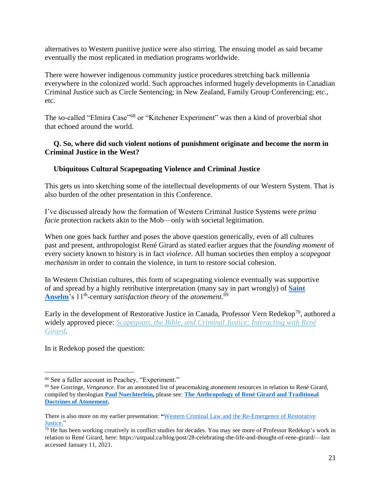alternatives to Western punitive justice were also stirring. The ensuing model as said became eventually the most replicated in mediation programs worldwide.

There were however indigenous community justice procedures stretching back millennia everywhere in the colonized world. Such approaches informed hugely developments in Canadian Criminal Justice such as Circle Sentencing; in New Zealand, Family Group Conferencing; etc., etc.

The so-called "Elmira Case"<sup>68</sup> or "Kitchener Experiment" was then a kind of proverbial shot that echoed around the world.

# **Q. So, where did such violent notions of punishment originate and become the norm in Criminal Justice in the West?**

# **Ubiquitous Cultural Scapegoating Violence and Criminal Justice**

This gets us into sketching some of the intellectual developments of our Western System. That is also burden of the other presentation in this Conference.

I've discussed already how the formation of Western Criminal Justice Systems were *prima facie* protection rackets akin to the Mob—only with societal legitimation.

When one goes back further and poses the above question generically, even of all cultures past and present, anthropologist René Girard as stated earlier argues that the *founding moment* of every society known to history is in fact *violence*. All human societies then employ a *scapegoat mechanism* in order to contain the violence, in turn to restore social cohesion.

In Western Christian cultures, this form of scapegoating violence eventually was supportive of and spread by a highly retributive interpretation (many say in part wrongly) of **[Saint](https://en.wikipedia.org/wiki/Anselm_of_Canterbury)**  [Anselm](https://en.wikipedia.org/wiki/Anselm_of_Canterbury)'s 11<sup>th</sup>-century *satisfaction theory* of the *atonement*.<sup>69</sup>

Early in the development of Restorative Justice in Canada, Professor Vern Redekop<sup>70</sup>, authored a widely approved piece: *[Scapegoats,](https://waynenorthey.com/wp-content/uploads/2016/06/Issue-13.pdf) the Bible, and Criminal Justice: Interacting with René [Girard](https://waynenorthey.com/wp-content/uploads/2016/06/Issue-13.pdf)*.

In it Redekop posed the question:

<sup>68</sup> See a fuller account in Peachey, "Experiment."

<sup>69</sup> See Gorringe, *Vengeance*. For an annotated list of peacemaking atonement resources in relation to René Girard, compiled by theologian **[Paul Nuechterlein,](http://girardianlectionary.net/about-paul-nuechterlein/)** please see: **[The Anthropology of René Girard and Traditional](http://girardianlectionary.net/learn/atonement-and-mimetic-theory/)  [Doctrines of Atonement.](http://girardianlectionary.net/learn/atonement-and-mimetic-theory/)**

There is also more on my earlier presentation: **"**[Western Criminal Law and the Re-Emergence of Restorative](https://waynenorthey.com/2022/04/13/announcing-rj-world-econference-2022/)  [Justice."](https://waynenorthey.com/2022/04/13/announcing-rj-world-econference-2022/)

<sup>&</sup>lt;sup>70</sup> He has been working creatively in conflict studies for decades. You may see more of Professor Redekop's work in relation to René Girard, here: https://ustpaul.ca/blog/post/28-celebrating-the-life-and-thought-of-rene-girard/—last accessed January 11, 2021.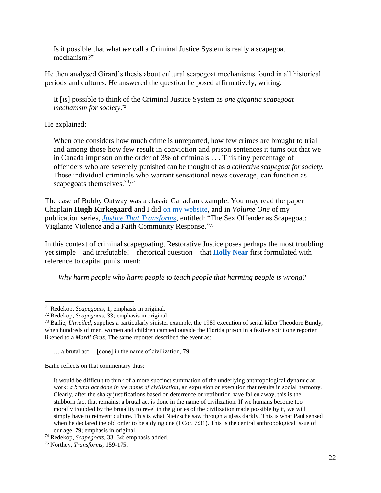Is it possible that what *we* call a Criminal Justice System is really a scapegoat mechanism?<sup>71</sup>

He then analysed Girard's thesis about cultural scapegoat mechanisms found in all historical periods and cultures. He answered the question he posed affirmatively, writing:

It [*is*] possible to think of the Criminal Justice System as *one gigantic scapegoat mechanism for society*. 72

#### He explained:

 $\overline{a}$ 

When one considers how much crime is unreported, how few crimes are brought to trial and among those how few result in conviction and prison sentences it turns out that we in Canada imprison on the order of 3% of criminals . . . This tiny percentage of offenders who are severely punished can be thought of as *a collective scapegoat for society*. Those individual criminals who warrant sensational news coverage, can function as scapegoats themselves.<sup>73</sup>/<sup>74</sup>

The case of Bobby Oatway was a classic Canadian example. You may read the paper Chaplain **Hugh Kirkegaard** and I did [on my website,](https://waynenorthey.com/2014/03/10/the-sex-offender-as-scapegoat/) and in *Volume One* of my publication series, *[Justice That Transforms](https://waynenorthey.com/justice/justice-that-transforms/)*, entitled: "The Sex Offender as Scapegoat: Vigilante Violence and a Faith Community Response." 75

In this context of criminal scapegoating, Restorative Justice poses perhaps the most troubling yet simple—and irrefutable!—rhetorical question—that **[Holly Near](https://en.wikipedia.org/wiki/Holly_Near)** first formulated with reference to capital punishment:

*Why harm people who harm people to teach people that harming people is wrong?*

… a brutal act… [done] in the name of civilization, 79.

Bailie reflects on that commentary thus:

<sup>71</sup> Redekop, *Scapegoats*, 1; emphasis in original.

<sup>72</sup> Redekop, *Scapegoats*, 33; emphasis in original.

<sup>73</sup> Bailie, *Unveiled*, supplies a particularly sinister example, the 1989 execution of serial killer Theodore Bundy, when hundreds of men, women and children camped outside the Florida prison in a festive spirit one reporter likened to a *Mardi Gras*. The same reporter described the event as:

It would be difficult to think of a more succinct summation of the underlying anthropological dynamic at work: *a brutal act done in the name of civilization*, an expulsion or execution that results in social harmony. Clearly, after the shaky justifications based on deterrence or retribution have fallen away, this is the stubborn fact that remains: a brutal act is done in the name of civilization. If we humans become too morally troubled by the brutality to revel in the glories of the civilization made possible by it, we will simply have to reinvent culture. This is what Nietzsche saw through a glass darkly. This is what Paul sensed when he declared the old order to be a dying one (I Cor. 7:31). This is the central anthropological issue of our age, 79; emphasis in original.

<sup>74</sup> Redekop, *Scapegoats*, 33–34; emphasis added.

<sup>75</sup> Northey, *Transforms*, 159-175.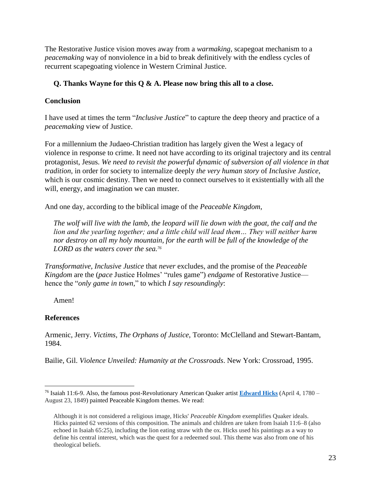The Restorative Justice vision moves away from a *warmaking*, scapegoat mechanism to a *peacemaking* way of nonviolence in a bid to break definitively with the endless cycles of recurrent scapegoating violence in Western Criminal Justice.

# **Q. Thanks Wayne for this Q & A. Please now bring this all to a close.**

# **Conclusion**

I have used at times the term "*Inclusive Justice*" to capture the deep theory and practice of a *peacemaking* view of Justice.

For a millennium the Judaeo-Christian tradition has largely given the West a legacy of violence in response to crime. It need not have according to its original trajectory and its central protagonist, Jesus. *We need to revisit the powerful dynamic of subversion of all violence in that tradition*, in order for society to internalize deeply *the very human story* of *Inclusive Justice*, which is our cosmic destiny. Then we need to connect ourselves to it existentially with all the will, energy, and imagination we can muster.

And one day, according to the biblical image of the *Peaceable Kingdom*,

*The wolf will live with the lamb, the leopard will lie down with the goat, the calf and the lion and the yearling together; and a little child will lead them… They will neither harm nor destroy on all my holy mountain, for the earth will be full of the knowledge of the LORD as the waters cover the sea. 76*

*Transformative, Inclusive Justice* that *never* excludes, and the promise of the *Peaceable Kingdom* are the (*pace* Justice Holmes' "rules game") *endgame* of Restorative Justice hence the "*only game in town,*" to which *I say resoundingly*:

Amen!

# **References**

 $\overline{a}$ 

Armenic, Jerry. *Victims, The Orphans of Justice*, Toronto: McClelland and Stewart-Bantam, 1984.

Bailie, Gil. *Violence Unveiled: Humanity at the Crossroads*. New York: Crossroad, 1995.

<sup>76</sup> Isaiah 11:6-9. Also, the famous post-Revolutionary American Quaker artist **[Edward Hicks](https://en.wikipedia.org/wiki/Edward_Hicks)** (April 4, 1780 – August 23, 1849) painted Peaceable Kingdom themes. We read:

Although it is not considered a religious image, Hicks' *Peaceable Kingdom* exemplifies Quaker ideals. Hicks painted 62 versions of this composition. The animals and children are taken from Isaiah 11:6–8 (also echoed in Isaiah 65:25), including the lion eating straw with the ox. Hicks used his paintings as a way to define his central interest, which was the quest for a redeemed soul. This theme was also from one of his theological beliefs.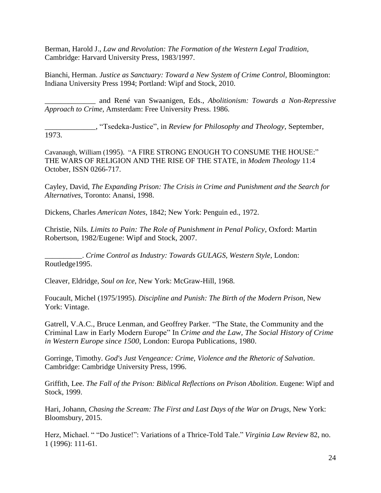Berman, Harold J., *Law and Revolution: The Formation of the Western Legal Tradition*, Cambridge: Harvard University Press, 1983/1997.

Bianchi, Herman. *Justice as Sanctuary: Toward a New System of Crime Control*, Bloomington: Indiana University Press 1994; Portland: Wipf and Stock, 2010.

\_\_\_\_\_\_\_\_\_\_\_\_\_ and René van Swaanigen, Eds., *Abolitionism: Towards a Non-Repressive Approach to Crime,* Amsterdam: Free University Press. 1986.

\_\_\_\_\_\_\_\_\_\_\_\_\_, "Tsedeka-Justice", in *Review for Philosophy and Theology*, September, 1973.

Cavanaugh, William (1995). "A FIRE STRONG ENOUGH TO CONSUME THE HOUSE:" THE WARS OF RELIGION AND THE RISE OF THE STATE, in *Modem Theology* 11:4 October, ISSN 0266-717.

Cayley, David, *The Expanding Prison: The Crisis in Crime and Punishment and the Search for Alternatives*, Toronto: Anansi, 1998.

Dickens, Charles *American Notes*, 1842; New York: Penguin ed., 1972.

Christie, Nils*. Limits to Pain: The Role of Punishment in Penal Policy*, Oxford: Martin Robertson, 1982/Eugene: Wipf and Stock, 2007.

\_\_\_\_\_\_\_\_\_\_. *Crime Control as Industry: Towards GULAGS, Western Style*, London: Routledge1995.

Cleaver, Eldridge, *Soul on Ice*, New York: McGraw-Hill, 1968.

Foucault, Michel (1975/1995). *Discipline and Punish: The Birth of the Modern Prison*, New York: Vintage.

Gatrell, V.A.C., Bruce Lenman, and Geoffrey Parker*.* "The State, the Community and the Criminal Law in Early Modern Europe" In *Crime and the Law, The Social History of Crime in Western Europe since 1500*, London: Europa Publications, 1980.

Gorringe, Timothy. *God's Just Vengeance: Crime, Violence and the Rhetoric of Salvation*. Cambridge: Cambridge University Press, 1996.

Griffith, Lee. *The Fall of the Prison: Biblical Reflections on Prison Abolition*. Eugene: Wipf and Stock, 1999.

Hari, Johann, *Chasing the Scream: The First and Last Days of the War on Drugs*, New York: Bloomsbury, 2015.

Herz, Michael. " "Do Justice!": Variations of a Thrice-Told Tale." *Virginia Law Review* 82, no. 1 (1996): 111-61.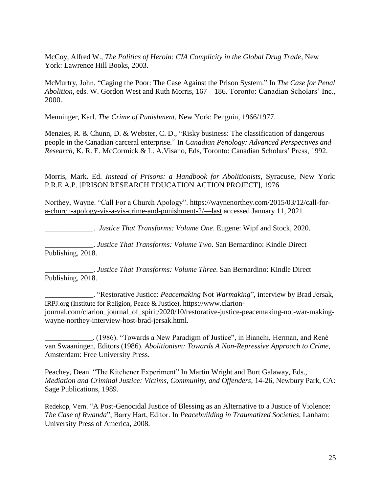McCoy, Alfred W., *The Politics of Heroin: CIA Complicity in the Global Drug Trade*, New York: Lawrence Hill Books, 2003.

McMurtry, John. "Caging the Poor: The Case Against the Prison System." In *The Case for Penal Abolition*, eds. W. Gordon West and Ruth Morris, 167 – 186. Toronto: Canadian Scholars' Inc., 2000.

Menninger, Karl. *The Crime of Punishment*, New York: Penguin, 1966/1977.

Menzies, R. & Chunn, D. & Webster, C. D., "Risky business: The classification of dangerous people in the Canadian carceral enterprise." In *Canadian Penology: Advanced Perspectives and Research*, K. R. E. McCormick & L. A.Visano, Eds, Toronto: Canadian Scholars' Press, 1992.

Morris, Mark. Ed. *Instead of Prisons: a Handbook for Abolitionists*, Syracuse, New York: P.R.E.A.P. [PRISON RESEARCH EDUCATION ACTION PROJECT], 1976

Northey, Wayne. "Call For a Church Apology". [https://waynenorthey.com/2015/03/12/call-for](https://waynenorthey.com/2015/03/12/call-for-a-church-apology-vis-a-vis-crime-and-punishment-2/—last)[a-church-apology-vis-a-vis-crime-and-punishment-2/—last](https://waynenorthey.com/2015/03/12/call-for-a-church-apology-vis-a-vis-crime-and-punishment-2/—last) accessed January 11, 2021

\_\_\_\_\_\_\_\_\_\_\_\_\_. *Justice That Transforms: Volume One*. Eugene: Wipf and Stock, 2020.

\_\_\_\_\_\_\_\_\_\_\_\_\_. *Justice That Transforms: Volume Two*. San Bernardino: Kindle Direct Publishing, 2018.

\_\_\_\_\_\_\_\_\_\_\_\_\_. *Justice That Transforms: Volume Three*. San Bernardino: Kindle Direct Publishing, 2018.

\_\_\_\_\_\_\_\_\_\_\_\_\_. "Restorative Justice: *Peacemaking* Not *Warmaking*", interview by Brad Jersak, IRPJ.org (Institute for Religion, Peace & Justice), https://www.clarionjournal.com/clarion\_journal\_of\_spirit/2020/10/restorative-justice-peacemaking-not-war-makingwayne-northey-interview-host-brad-jersak.html.

\_\_\_\_\_\_\_\_\_\_\_\_\_\_. (1986). "Towards a New Paradigm of Justice", in Bianchi, Herman, and René van Swaaningen, Editors (1986). *Abolitionism: Towards A Non-Repressive Approach to Crime*, Amsterdam: Free University Press.

Peachey, Dean. "The Kitchener Experiment" In Martin Wright and Burt Galaway, Eds., *Mediation and Criminal Justice: Victims, Community, and Offenders,* 14-26, Newbury Park, CA: Sage Publications, 1989.

Redekop, Vern. "A Post-Genocidal Justice of Blessing as an Alternative to a Justice of Violence: *The Case of Rwanda*", Barry Hart, Editor. In *Peacebuilding in Traumatized Societies*, Lanham: University Press of America, 2008.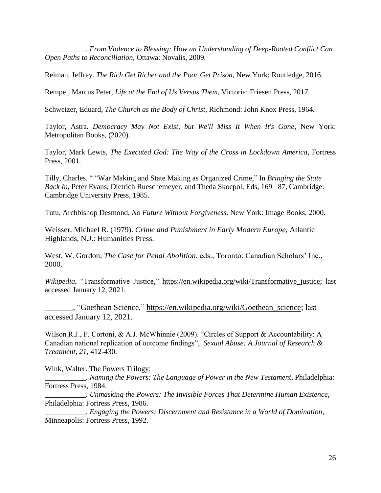\_\_\_\_\_\_\_\_\_\_\_. *[From Violence to Blessing: How an Understanding of Deep-Rooted Conflict Can](https://www.amazon.ca/Violence-Blessing-Understanding-Deep-rooted-Reconciliation/dp/2895073090)  [Open Paths to Reconciliation](https://www.amazon.ca/Violence-Blessing-Understanding-Deep-rooted-Reconciliation/dp/2895073090)*, Ottawa: Novalis, 2009.

Reiman, Jeffrey. *The Rich Get Richer and the Poor Get Prison*, New York: Routledge, 2016.

Rempel, Marcus Peter, *Life at the End of Us Versus Them*, Victoria: Friesen Press, 2017.

Schweizer, Eduard, *The Church as the Body of Christ*, Richmond: John Knox Press, 1964.

Taylor, Astra. *Democracy May Not Exist, but We'll Miss It When It's Gone*, New York: Metropolitan Books, (2020).

Taylor, Mark Lewis, *The Executed God: The Way of the Cross in Lockdown America*, Fortress Press, 2001.

Tilly, Charles. " "War Making and State Making as Organized Crime," In *Bringing the State Back In*, Peter Evans, Dietrich Rueschemeyer, and Theda Skocpol, Eds, 169– 87, Cambridge: Cambridge University Press, 1985.

Tutu, Archbishop Desmond, *No Future Without Forgiveness*. New York: Image Books, 2000.

Weisser, Michael R. (1979). *Crime and Punishment in Early Modern Europe*, Atlantic Highlands, N.J.: Humanities Press.

West, W. Gordon, *The Case for Penal Abolition*, eds., Toronto: Canadian Scholars' Inc., 2000.

*Wikipedia*, "Transformative Justice," https://en.wikipedia.org/wiki/Transformative\_justice; last accessed January 12, 2021.

\_\_\_\_\_\_\_, "Goethean Science," https://en.wikipedia.org/wiki/Goethean\_science; last accessed January 12, 2021.

Wilson R.J., F. Cortoni, & A.J. McWhinnie (2009). "Circles of Support & Accountability: A Canadian national replication of outcome findings", *[Sexual Abuse: A Journal of Research &](http://robinjwilson.com/articles/COSA_Replication.pdf)  [Treatment, 21,](http://robinjwilson.com/articles/COSA_Replication.pdf)* 412-430.

Wink, Walter. The Powers Trilogy:

\_\_\_\_\_\_\_\_\_\_\_. *Naming the Powers: The Language of Power in the New Testament*, Philadelphia: Fortress Press, 1984.

\_\_\_\_\_\_\_\_\_\_\_. *Unmasking the Powers: The Invisible Forces That Determine Human Existence*, Philadelphia: Fortress Press, 1986.

\_\_\_\_\_\_\_\_\_\_\_. *Engaging the Powers: Discernment and Resistance in a World of Domination*, Minneapolis: Fortress Press, 1992.